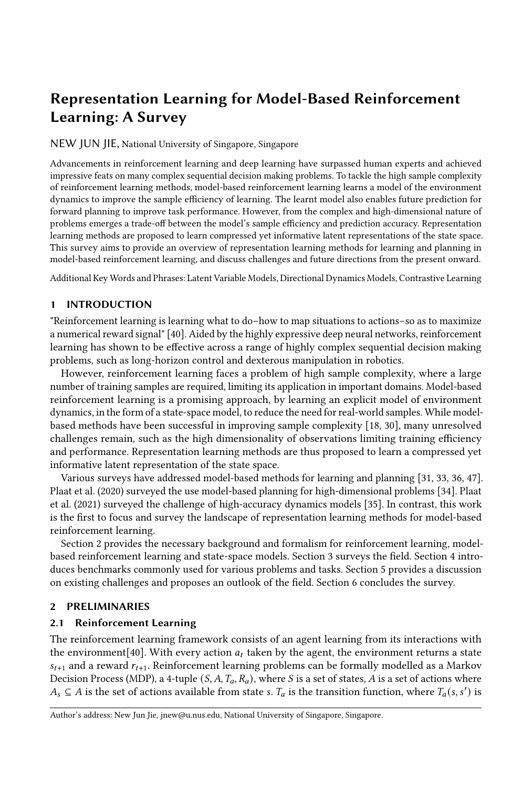# Representation Learning for Model-Based Reinforcement Learning: A Survey

NEW JUN JIE, National University of Singapore, Singapore

Advancements in reinforcement learning and deep learning have surpassed human experts and achieved impressive feats on many complex sequential decision making problems. To tackle the high sample complexity of reinforcement learning methods, model-based reinforcement learning learns a model of the environment dynamics to improve the sample efficiency of learning. The learnt model also enables future prediction for forward planning to improve task performance. However, from the complex and high-dimensional nature of problems emerges a trade-off between the model's sample efficiency and prediction accuracy. Representation learning methods are proposed to learn compressed yet informative latent representations of the state space. This survey aims to provide an overview of representation learning methods for learning and planning in model-based reinforcement learning, and discuss challenges and future directions from the present onward.

Additional Key Words and Phrases: Latent Variable Models, Directional Dynamics Models, Contrastive Learning

# 1 INTRODUCTION

"Reinforcement learning is learning what to do–how to map situations to actions–so as to maximize a numerical reward signal" [\[40\]](#page-7-0). Aided by the highly expressive deep neural networks, reinforcement learning has shown to be effective across a range of highly complex sequential decision making problems, such as long-horizon control and dexterous manipulation in robotics.

However, reinforcement learning faces a problem of high sample complexity, where a large number of training samples are required, limiting its application in important domains. Model-based reinforcement learning is a promising approach, by learning an explicit model of environment dynamics, in the form of a state-space model, to reduce the need for real-world samples. While modelbased methods have been successful in improving sample complexity [\[18,](#page-6-0) [30\]](#page-7-1), many unresolved challenges remain, such as the high dimensionality of observations limiting training efficiency and performance. Representation learning methods are thus proposed to learn a compressed yet informative latent representation of the state space.

Various surveys have addressed model-based methods for learning and planning [\[31,](#page-7-2) [33,](#page-7-3) [36,](#page-7-4) [47\]](#page-7-5). Plaat et al. (2020) surveyed the use model-based planning for high-dimensional problems [\[34\]](#page-7-6). Plaat et al. (2021) surveyed the challenge of high-accuracy dynamics models [\[35\]](#page-7-7). In contrast, this work is the first to focus and survey the landscape of representation learning methods for model-based reinforcement learning.

Section 2 provides the necessary background and formalism for reinforcement learning, modelbased reinforcement learning and state-space models. Section 3 surveys the field. Section 4 introduces benchmarks commonly used for various problems and tasks. Section 5 provides a discussion on existing challenges and proposes an outlook of the field. Section 6 concludes the survey.

# 2 PRELIMINARIES

## 2.1 Reinforcement Learning

The reinforcement learning framework consists of an agent learning from its interactions with the environment [\[40\]](#page-7-0). With every action  $a_t$  taken by the agent, the environment returns a state  $s_{t+1}$  and a reward  $r_{t+1}$ . Reinforcement learning problems can be formally modelled as a Markov Decision Process (MDP), a 4-tuple  $(S, A, T_a, R_a)$ , where S is a set of states, A is a set of actions where  $A_s \subseteq A$  is the set of actions available from state s.  $T_a$  is the transition function, where  $T_a(s, s')$  is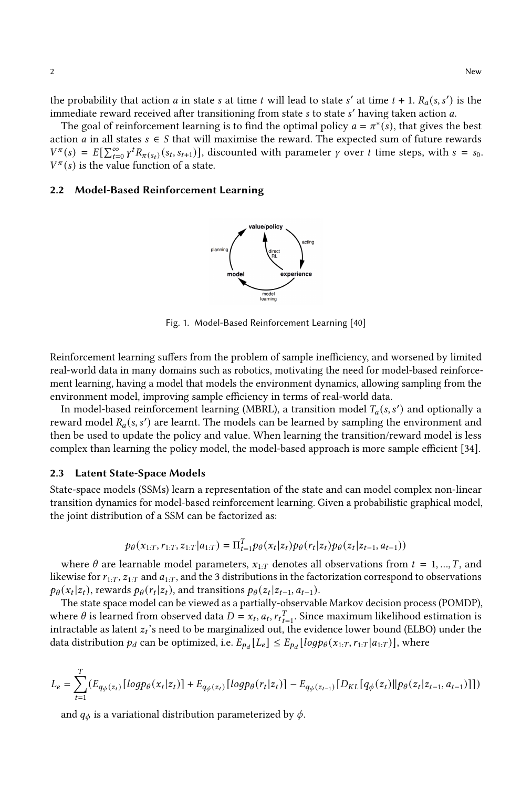the probability that action *a* in state *s* at time *t* will lead to state *s'* at time  $t + 1$ .  $R_a(s, s')$  is the immediate reward received after transitioning from state s to state s' having taken action a.

The goal of reinforcement learning is to find the optimal policy  $a = \pi^*(s)$ , that gives the best action *a* in all states  $s \in S$  that will maximise the reward. The expected sum of future rewards  $V^{\pi}(s) = E[\sum_{t=0}^{\infty} \gamma^{t} R_{\pi(s_t)}(s_t, s_{t+1})],$  discounted with parameter  $\gamma$  over t time steps, with  $s = s_0$ .  $V^{\pi}(s)$  is the value function of a state.

#### 2.2 Model-Based Reinforcement Learning



Fig. 1. Model-Based Reinforcement Learning [\[40\]](#page-7-0)

Reinforcement learning suffers from the problem of sample inefficiency, and worsened by limited real-world data in many domains such as robotics, motivating the need for model-based reinforcement learning, having a model that models the environment dynamics, allowing sampling from the environment model, improving sample efficiency in terms of real-world data.

In model-based reinforcement learning (MBRL), a transition model  $T_a(s, s')$  and optionally a reward model  $R_a(s, s')$  are learnt. The models can be learned by sampling the environment and then be used to update the policy and value. When learning the transition/reward model is less complex than learning the policy model, the model-based approach is more sample efficient [\[34\]](#page-7-6).

#### 2.3 Latent State-Space Models

State-space models (SSMs) learn a representation of the state and can model complex non-linear transition dynamics for model-based reinforcement learning. Given a probabilistic graphical model, the joint distribution of a SSM can be factorized as:

$$
p_{\theta}(x_{1:T}, r_{1:T}, z_{1:T} | a_{1:T}) = \Pi_{t=1}^T p_{\theta}(x_t | z_t) p_{\theta}(r_t | z_t) p_{\theta}(z_t | z_{t-1}, a_{t-1}))
$$

where  $\theta$  are learnable model parameters,  $x_{1:T}$  denotes all observations from  $t = 1, ..., T$ , and likewise for  $r_{1:T}$ ,  $z_{1:T}$  and  $a_{1:T}$ , and the 3 distributions in the factorization correspond to observations  $p_{\theta}(x_t|z_t)$ , rewards  $p_{\theta}(r_t|z_t)$ , and transitions  $p_{\theta}(z_t|z_{t-1}, a_{t-1})$ .

The state space model can be viewed as a partially-observable Markov decision process (POMDP), where  $\theta$  is learned from observed data  $D = x_t, a_t, r_t^T_{t=1}$ . Since maximum likelihood estimation is intractable as latent  $z_t$ 's need to be marginalized out, the evidence lower bound (ELBO) under the data distribution  $p_d$  can be optimized, i.e.  $E_{p_d}[L_e] \le E_{p_d}[log p_\theta(x_{1:T}, r_{1:T}|a_{1:T})]$ , where

$$
L_e = \sum_{t=1}^{T} (E_{q_{\phi}(z_t)}[log p_{\theta}(x_t|z_t)] + E_{q_{\phi}(z_t)}[log p_{\theta}(r_t|z_t)] - E_{q_{\phi}(z_{t-1})}[D_{KL}[q_{\phi}(z_t)|| p_{\theta}(z_t|z_{t-1}, a_{t-1})]])
$$

and  $q_{\phi}$  is a variational distribution parameterized by  $\phi$ .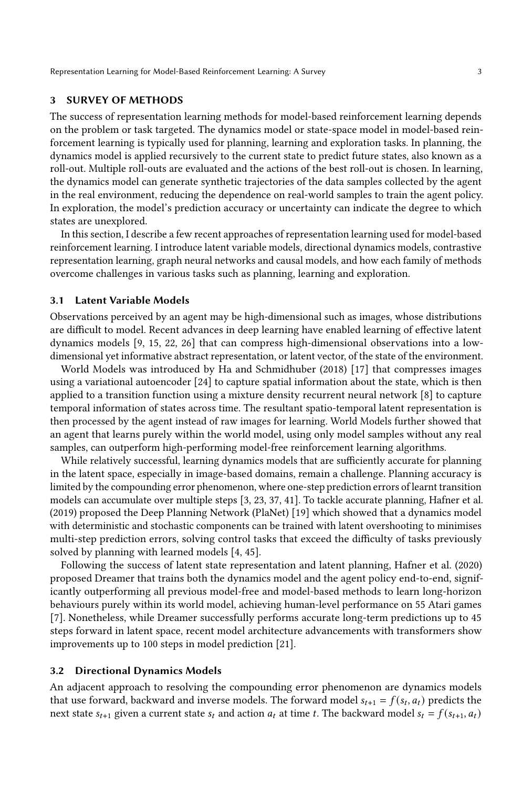Representation Learning for Model-Based Reinforcement Learning: A Survey 3

## 3 SURVEY OF METHODS

The success of representation learning methods for model-based reinforcement learning depends on the problem or task targeted. The dynamics model or state-space model in model-based reinforcement learning is typically used for planning, learning and exploration tasks. In planning, the dynamics model is applied recursively to the current state to predict future states, also known as a roll-out. Multiple roll-outs are evaluated and the actions of the best roll-out is chosen. In learning, the dynamics model can generate synthetic trajectories of the data samples collected by the agent in the real environment, reducing the dependence on real-world samples to train the agent policy. In exploration, the model's prediction accuracy or uncertainty can indicate the degree to which states are unexplored.

In this section, I describe a few recent approaches of representation learning used for model-based reinforcement learning. I introduce latent variable models, directional dynamics models, contrastive representation learning, graph neural networks and causal models, and how each family of methods overcome challenges in various tasks such as planning, learning and exploration.

#### 3.1 Latent Variable Models

Observations perceived by an agent may be high-dimensional such as images, whose distributions are difficult to model. Recent advances in deep learning have enabled learning of effective latent dynamics models [\[9,](#page-6-1) [15,](#page-6-2) [22,](#page-6-3) [26\]](#page-6-4) that can compress high-dimensional observations into a lowdimensional yet informative abstract representation, or latent vector, of the state of the environment.

World Models was introduced by Ha and Schmidhuber (2018) [\[17\]](#page-6-5) that compresses images using a variational autoencoder [\[24\]](#page-6-6) to capture spatial information about the state, which is then applied to a transition function using a mixture density recurrent neural network [\[8\]](#page-6-7) to capture temporal information of states across time. The resultant spatio-temporal latent representation is then processed by the agent instead of raw images for learning. World Models further showed that an agent that learns purely within the world model, using only model samples without any real samples, can outperform high-performing model-free reinforcement learning algorithms.

While relatively successful, learning dynamics models that are sufficiently accurate for planning in the latent space, especially in image-based domains, remain a challenge. Planning accuracy is limited by the compounding error phenomenon, where one-step prediction errors of learnt transition models can accumulate over multiple steps [\[3,](#page-6-8) [23,](#page-6-9) [37,](#page-7-8) [41\]](#page-7-9). To tackle accurate planning, Hafner et al. (2019) proposed the Deep Planning Network (PlaNet) [\[19\]](#page-6-10) which showed that a dynamics model with deterministic and stochastic components can be trained with latent overshooting to minimises multi-step prediction errors, solving control tasks that exceed the difficulty of tasks previously solved by planning with learned models [\[4,](#page-6-11) [45\]](#page-7-10).

Following the success of latent state representation and latent planning, Hafner et al. (2020) proposed Dreamer that trains both the dynamics model and the agent policy end-to-end, significantly outperforming all previous model-free and model-based methods to learn long-horizon behaviours purely within its world model, achieving human-level performance on 55 Atari games [\[7\]](#page-6-12). Nonetheless, while Dreamer successfully performs accurate long-term predictions up to 45 steps forward in latent space, recent model architecture advancements with transformers show improvements up to 100 steps in model prediction [\[21\]](#page-6-13).

#### 3.2 Directional Dynamics Models

An adjacent approach to resolving the compounding error phenomenon are dynamics models that use forward, backward and inverse models. The forward model  $s_{t+1} = f(s_t, a_t)$  predicts the next state  $s_{t+1}$  given a current state  $s_t$  and action  $a_t$  at time t. The backward model  $s_t = f(s_{t+1}, a_t)$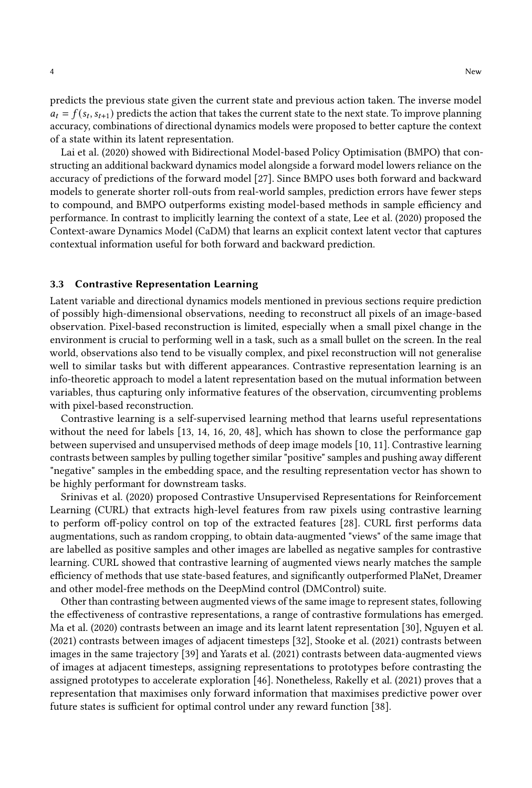predicts the previous state given the current state and previous action taken. The inverse model  $a_t = f(s_t, s_{t+1})$  predicts the action that takes the current state to the next state. To improve planning accuracy, combinations of directional dynamics models were proposed to better capture the context of a state within its latent representation.

Lai et al. (2020) showed with Bidirectional Model-based Policy Optimisation (BMPO) that constructing an additional backward dynamics model alongside a forward model lowers reliance on the accuracy of predictions of the forward model [\[27\]](#page-7-11). Since BMPO uses both forward and backward models to generate shorter roll-outs from real-world samples, prediction errors have fewer steps to compound, and BMPO outperforms existing model-based methods in sample efficiency and performance. In contrast to implicitly learning the context of a state, Lee et al. (2020) proposed the Context-aware Dynamics Model (CaDM) that learns an explicit context latent vector that captures contextual information useful for both forward and backward prediction.

## 3.3 Contrastive Representation Learning

Latent variable and directional dynamics models mentioned in previous sections require prediction of possibly high-dimensional observations, needing to reconstruct all pixels of an image-based observation. Pixel-based reconstruction is limited, especially when a small pixel change in the environment is crucial to performing well in a task, such as a small bullet on the screen. In the real world, observations also tend to be visually complex, and pixel reconstruction will not generalise well to similar tasks but with different appearances. Contrastive representation learning is an info-theoretic approach to model a latent representation based on the mutual information between variables, thus capturing only informative features of the observation, circumventing problems with pixel-based reconstruction.

Contrastive learning is a self-supervised learning method that learns useful representations without the need for labels [\[13,](#page-6-14) [14,](#page-6-15) [16,](#page-6-16) [20,](#page-6-17) [48\]](#page-7-12), which has shown to close the performance gap between supervised and unsupervised methods of deep image models [\[10,](#page-6-18) [11\]](#page-6-19). Contrastive learning contrasts between samples by pulling together similar "positive" samples and pushing away different "negative" samples in the embedding space, and the resulting representation vector has shown to be highly performant for downstream tasks.

Srinivas et al. (2020) proposed Contrastive Unsupervised Representations for Reinforcement Learning (CURL) that extracts high-level features from raw pixels using contrastive learning to perform off-policy control on top of the extracted features [\[28\]](#page-7-13). CURL first performs data augmentations, such as random cropping, to obtain data-augmented "views" of the same image that are labelled as positive samples and other images are labelled as negative samples for contrastive learning. CURL showed that contrastive learning of augmented views nearly matches the sample efficiency of methods that use state-based features, and significantly outperformed PlaNet, Dreamer and other model-free methods on the DeepMind control (DMControl) suite.

Other than contrasting between augmented views of the same image to represent states, following the effectiveness of contrastive representations, a range of contrastive formulations has emerged. Ma et al. (2020) contrasts between an image and its learnt latent representation [\[30\]](#page-7-1), Nguyen et al. (2021) contrasts between images of adjacent timesteps [\[32\]](#page-7-14), Stooke et al. (2021) contrasts between images in the same trajectory [\[39\]](#page-7-15) and Yarats et al. (2021) contrasts between data-augmented views of images at adjacent timesteps, assigning representations to prototypes before contrasting the assigned prototypes to accelerate exploration [\[46\]](#page-7-16). Nonetheless, Rakelly et al. (2021) proves that a representation that maximises only forward information that maximises predictive power over future states is sufficient for optimal control under any reward function [\[38\]](#page-7-17).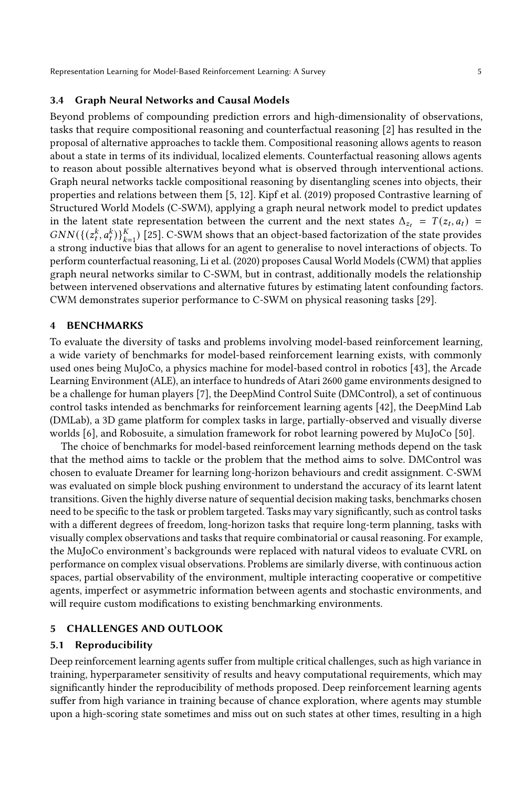Representation Learning for Model-Based Reinforcement Learning: A Survey 5

## 3.4 Graph Neural Networks and Causal Models

Beyond problems of compounding prediction errors and high-dimensionality of observations, tasks that require compositional reasoning and counterfactual reasoning [\[2\]](#page-6-20) has resulted in the proposal of alternative approaches to tackle them. Compositional reasoning allows agents to reason about a state in terms of its individual, localized elements. Counterfactual reasoning allows agents to reason about possible alternatives beyond what is observed through interventional actions. Graph neural networks tackle compositional reasoning by disentangling scenes into objects, their properties and relations between them [\[5,](#page-6-21) [12\]](#page-6-22). Kipf et al. (2019) proposed Contrastive learning of Structured World Models (C-SWM), applying a graph neural network model to predict updates in the latent state representation between the current and the next states  $\Delta_{z_t} = T(z_t, a_t)$  $GNN(\{(z_t^k, a_t^k)\}_{k=1}^K)$  [\[25\]](#page-6-23). C-SWM shows that an object-based factorization of the state provides a strong inductive bias that allows for an agent to generalise to novel interactions of objects. To perform counterfactual reasoning, Li et al. (2020) proposes Causal World Models (CWM) that applies graph neural networks similar to C-SWM, but in contrast, additionally models the relationship between intervened observations and alternative futures by estimating latent confounding factors. CWM demonstrates superior performance to C-SWM on physical reasoning tasks [\[29\]](#page-7-18).

#### 4 BENCHMARKS

To evaluate the diversity of tasks and problems involving model-based reinforcement learning, a wide variety of benchmarks for model-based reinforcement learning exists, with commonly used ones being MuJoCo, a physics machine for model-based control in robotics [\[43\]](#page-7-19), the Arcade Learning Environment (ALE), an interface to hundreds of Atari 2600 game environments designed to be a challenge for human players [\[7\]](#page-6-12), the DeepMind Control Suite (DMControl), a set of continuous control tasks intended as benchmarks for reinforcement learning agents [\[42\]](#page-7-20), the DeepMind Lab (DMLab), a 3D game platform for complex tasks in large, partially-observed and visually diverse worlds [\[6\]](#page-6-24), and Robosuite, a simulation framework for robot learning powered by MuJoCo [\[50\]](#page-7-21).

The choice of benchmarks for model-based reinforcement learning methods depend on the task that the method aims to tackle or the problem that the method aims to solve. DMControl was chosen to evaluate Dreamer for learning long-horizon behaviours and credit assignment. C-SWM was evaluated on simple block pushing environment to understand the accuracy of its learnt latent transitions. Given the highly diverse nature of sequential decision making tasks, benchmarks chosen need to be specific to the task or problem targeted. Tasks may vary significantly, such as control tasks with a different degrees of freedom, long-horizon tasks that require long-term planning, tasks with visually complex observations and tasks that require combinatorial or causal reasoning. For example, the MuJoCo environment's backgrounds were replaced with natural videos to evaluate CVRL on performance on complex visual observations. Problems are similarly diverse, with continuous action spaces, partial observability of the environment, multiple interacting cooperative or competitive agents, imperfect or asymmetric information between agents and stochastic environments, and will require custom modifications to existing benchmarking environments.

#### 5 CHALLENGES AND OUTLOOK

#### 5.1 Reproducibility

Deep reinforcement learning agents suffer from multiple critical challenges, such as high variance in training, hyperparameter sensitivity of results and heavy computational requirements, which may significantly hinder the reproducibility of methods proposed. Deep reinforcement learning agents suffer from high variance in training because of chance exploration, where agents may stumble upon a high-scoring state sometimes and miss out on such states at other times, resulting in a high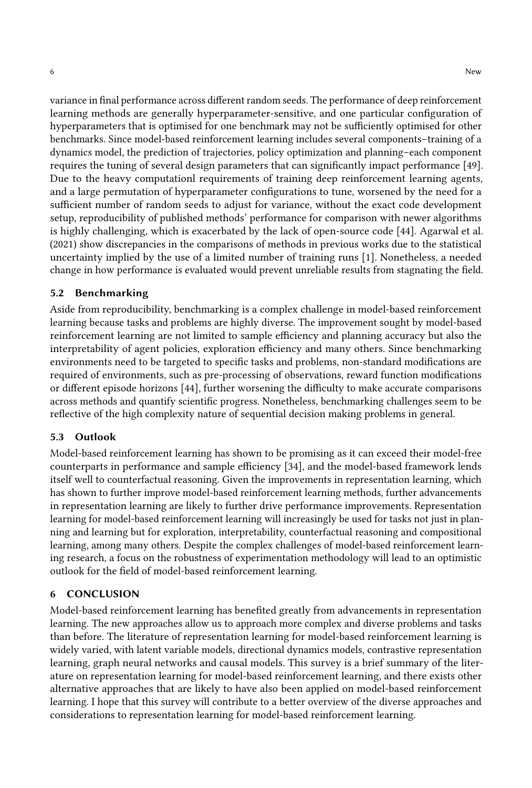variance in final performance across different random seeds. The performance of deep reinforcement learning methods are generally hyperparameter-sensitive, and one particular configuration of hyperparameters that is optimised for one benchmark may not be sufficiently optimised for other benchmarks. Since model-based reinforcement learning includes several components–training of a dynamics model, the prediction of trajectories, policy optimization and planning–each component requires the tuning of several design parameters that can significantly impact performance [\[49\]](#page-7-22). Due to the heavy computationl requirements of training deep reinforcement learning agents, and a large permutation of hyperparameter configurations to tune, worsened by the need for a sufficient number of random seeds to adjust for variance, without the exact code development setup, reproducibility of published methods' performance for comparison with newer algorithms is highly challenging, which is exacerbated by the lack of open-source code [\[44\]](#page-7-23). Agarwal et al. (2021) show discrepancies in the comparisons of methods in previous works due to the statistical uncertainty implied by the use of a limited number of training runs [\[1\]](#page-6-25). Nonetheless, a needed change in how performance is evaluated would prevent unreliable results from stagnating the field.

#### 5.2 Benchmarking

Aside from reproducibility, benchmarking is a complex challenge in model-based reinforcement learning because tasks and problems are highly diverse. The improvement sought by model-based reinforcement learning are not limited to sample efficiency and planning accuracy but also the interpretability of agent policies, exploration efficiency and many others. Since benchmarking environments need to be targeted to specific tasks and problems, non-standard modifications are required of environments, such as pre-processing of observations, reward function modifications or different episode horizons [\[44\]](#page-7-23), further worsening the difficulty to make accurate comparisons across methods and quantify scientific progress. Nonetheless, benchmarking challenges seem to be reflective of the high complexity nature of sequential decision making problems in general.

## 5.3 Outlook

Model-based reinforcement learning has shown to be promising as it can exceed their model-free counterparts in performance and sample efficiency [\[34\]](#page-7-6), and the model-based framework lends itself well to counterfactual reasoning. Given the improvements in representation learning, which has shown to further improve model-based reinforcement learning methods, further advancements in representation learning are likely to further drive performance improvements. Representation learning for model-based reinforcement learning will increasingly be used for tasks not just in planning and learning but for exploration, interpretability, counterfactual reasoning and compositional learning, among many others. Despite the complex challenges of model-based reinforcement learning research, a focus on the robustness of experimentation methodology will lead to an optimistic outlook for the field of model-based reinforcement learning.

#### 6 CONCLUSION

Model-based reinforcement learning has benefited greatly from advancements in representation learning. The new approaches allow us to approach more complex and diverse problems and tasks than before. The literature of representation learning for model-based reinforcement learning is widely varied, with latent variable models, directional dynamics models, contrastive representation learning, graph neural networks and causal models. This survey is a brief summary of the literature on representation learning for model-based reinforcement learning, and there exists other alternative approaches that are likely to have also been applied on model-based reinforcement learning. I hope that this survey will contribute to a better overview of the diverse approaches and considerations to representation learning for model-based reinforcement learning.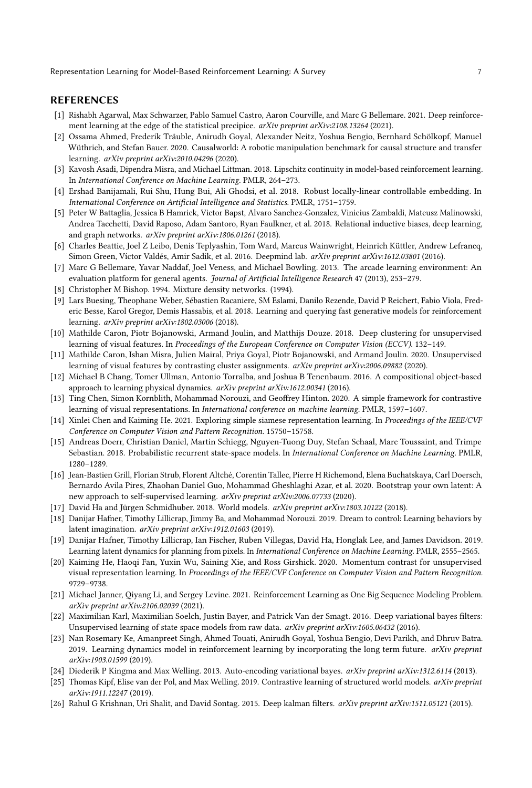Representation Learning for Model-Based Reinforcement Learning: A Survey 7

#### REFERENCES

- <span id="page-6-25"></span>[1] Rishabh Agarwal, Max Schwarzer, Pablo Samuel Castro, Aaron Courville, and Marc G Bellemare. 2021. Deep reinforcement learning at the edge of the statistical precipice. arXiv preprint arXiv:2108.13264 (2021).
- <span id="page-6-20"></span>[2] Ossama Ahmed, Frederik Träuble, Anirudh Goyal, Alexander Neitz, Yoshua Bengio, Bernhard Schölkopf, Manuel Wüthrich, and Stefan Bauer. 2020. Causalworld: A robotic manipulation benchmark for causal structure and transfer learning. arXiv preprint arXiv:2010.04296 (2020).
- <span id="page-6-8"></span>[3] Kavosh Asadi, Dipendra Misra, and Michael Littman. 2018. Lipschitz continuity in model-based reinforcement learning. In International Conference on Machine Learning. PMLR, 264–273.
- <span id="page-6-11"></span>[4] Ershad Banijamali, Rui Shu, Hung Bui, Ali Ghodsi, et al. 2018. Robust locally-linear controllable embedding. In International Conference on Artificial Intelligence and Statistics. PMLR, 1751–1759.
- <span id="page-6-21"></span>[5] Peter W Battaglia, Jessica B Hamrick, Victor Bapst, Alvaro Sanchez-Gonzalez, Vinicius Zambaldi, Mateusz Malinowski, Andrea Tacchetti, David Raposo, Adam Santoro, Ryan Faulkner, et al. 2018. Relational inductive biases, deep learning, and graph networks. arXiv preprint arXiv:1806.01261 (2018).
- <span id="page-6-24"></span>[6] Charles Beattie, Joel Z Leibo, Denis Teplyashin, Tom Ward, Marcus Wainwright, Heinrich Küttler, Andrew Lefrancq, Simon Green, Víctor Valdés, Amir Sadik, et al. 2016. Deepmind lab. arXiv preprint arXiv:1612.03801 (2016).
- <span id="page-6-12"></span>[7] Marc G Bellemare, Yavar Naddaf, Joel Veness, and Michael Bowling. 2013. The arcade learning environment: An evaluation platform for general agents. Journal of Artificial Intelligence Research 47 (2013), 253–279.
- <span id="page-6-7"></span>[8] Christopher M Bishop. 1994. Mixture density networks. (1994).
- <span id="page-6-1"></span>[9] Lars Buesing, Theophane Weber, Sébastien Racaniere, SM Eslami, Danilo Rezende, David P Reichert, Fabio Viola, Frederic Besse, Karol Gregor, Demis Hassabis, et al. 2018. Learning and querying fast generative models for reinforcement learning. arXiv preprint arXiv:1802.03006 (2018).
- <span id="page-6-18"></span>[10] Mathilde Caron, Piotr Bojanowski, Armand Joulin, and Matthijs Douze. 2018. Deep clustering for unsupervised learning of visual features. In Proceedings of the European Conference on Computer Vision (ECCV). 132-149.
- <span id="page-6-19"></span>[11] Mathilde Caron, Ishan Misra, Julien Mairal, Priya Goyal, Piotr Bojanowski, and Armand Joulin. 2020. Unsupervised learning of visual features by contrasting cluster assignments. arXiv preprint arXiv:2006.09882 (2020).
- <span id="page-6-22"></span>[12] Michael B Chang, Tomer Ullman, Antonio Torralba, and Joshua B Tenenbaum. 2016. A compositional object-based approach to learning physical dynamics. arXiv preprint arXiv:1612.00341 (2016).
- <span id="page-6-14"></span>[13] Ting Chen, Simon Kornblith, Mohammad Norouzi, and Geoffrey Hinton. 2020. A simple framework for contrastive learning of visual representations. In International conference on machine learning. PMLR, 1597-1607.
- <span id="page-6-15"></span>[14] Xinlei Chen and Kaiming He. 2021. Exploring simple siamese representation learning. In Proceedings of the IEEE/CVF Conference on Computer Vision and Pattern Recognition. 15750–15758.
- <span id="page-6-2"></span>[15] Andreas Doerr, Christian Daniel, Martin Schiegg, Nguyen-Tuong Duy, Stefan Schaal, Marc Toussaint, and Trimpe Sebastian. 2018. Probabilistic recurrent state-space models. In International Conference on Machine Learning. PMLR, 1280–1289.
- <span id="page-6-16"></span>[16] Jean-Bastien Grill, Florian Strub, Florent Altché, Corentin Tallec, Pierre H Richemond, Elena Buchatskaya, Carl Doersch, Bernardo Avila Pires, Zhaohan Daniel Guo, Mohammad Gheshlaghi Azar, et al. 2020. Bootstrap your own latent: A new approach to self-supervised learning. arXiv preprint arXiv:2006.07733 (2020).
- <span id="page-6-5"></span>[17] David Ha and Jürgen Schmidhuber. 2018. World models. arXiv preprint arXiv:1803.10122 (2018).
- <span id="page-6-0"></span>[18] Danijar Hafner, Timothy Lillicrap, Jimmy Ba, and Mohammad Norouzi. 2019. Dream to control: Learning behaviors by latent imagination. arXiv preprint arXiv:1912.01603 (2019).
- <span id="page-6-10"></span>[19] Danijar Hafner, Timothy Lillicrap, Ian Fischer, Ruben Villegas, David Ha, Honglak Lee, and James Davidson. 2019. Learning latent dynamics for planning from pixels. In International Conference on Machine Learning. PMLR, 2555-2565.
- <span id="page-6-17"></span>[20] Kaiming He, Haoqi Fan, Yuxin Wu, Saining Xie, and Ross Girshick. 2020. Momentum contrast for unsupervised visual representation learning. In Proceedings of the IEEE/CVF Conference on Computer Vision and Pattern Recognition. 9729–9738.
- <span id="page-6-13"></span>[21] Michael Janner, Qiyang Li, and Sergey Levine. 2021. Reinforcement Learning as One Big Sequence Modeling Problem. arXiv preprint arXiv:2106.02039 (2021).
- <span id="page-6-3"></span>[22] Maximilian Karl, Maximilian Soelch, Justin Bayer, and Patrick Van der Smagt. 2016. Deep variational bayes filters: Unsupervised learning of state space models from raw data. arXiv preprint arXiv:1605.06432 (2016).
- <span id="page-6-9"></span>[23] Nan Rosemary Ke, Amanpreet Singh, Ahmed Touati, Anirudh Goyal, Yoshua Bengio, Devi Parikh, and Dhruv Batra. 2019. Learning dynamics model in reinforcement learning by incorporating the long term future. arXiv preprint arXiv:1903.01599 (2019).
- <span id="page-6-6"></span>[24] Diederik P Kingma and Max Welling. 2013. Auto-encoding variational bayes. arXiv preprint arXiv:1312.6114 (2013).
- <span id="page-6-23"></span>[25] Thomas Kipf, Elise van der Pol, and Max Welling. 2019. Contrastive learning of structured world models. arXiv preprint arXiv:1911.12247 (2019).
- <span id="page-6-4"></span>[26] Rahul G Krishnan, Uri Shalit, and David Sontag. 2015. Deep kalman filters. arXiv preprint arXiv:1511.05121 (2015).